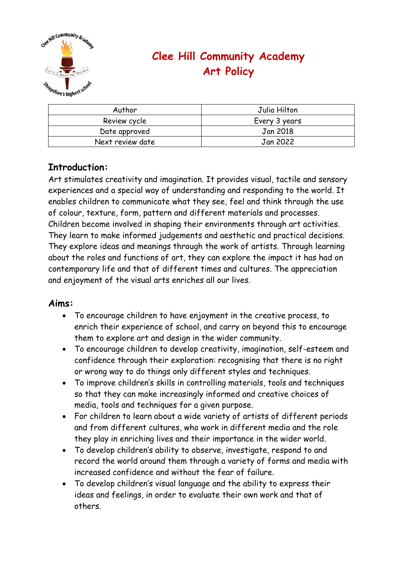

# **Clee Hill Community Academy Art Policy**

| Author           | Julia Hilton  |
|------------------|---------------|
| Review cycle     | Every 3 years |
| Date approved    | Jan 2018      |
| Next review date | Jan 2022      |

## **Introduction:**

Art stimulates creativity and imagination. It provides visual, tactile and sensory experiences and a special way of understanding and responding to the world. It enables children to communicate what they see, feel and think through the use of colour, texture, form, pattern and different materials and processes. Children become involved in shaping their environments through art activities. They learn to make informed judgements and aesthetic and practical decisions. They explore ideas and meanings through the work of artists. Through learning about the roles and functions of art, they can explore the impact it has had on contemporary life and that of different times and cultures. The appreciation and enjoyment of the visual arts enriches all our lives.

#### **Aims:**

- To encourage children to have enjoyment in the creative process, to enrich their experience of school, and carry on beyond this to encourage them to explore art and design in the wider community.
- To encourage children to develop creativity, imagination, self-esteem and confidence through their exploration: recognising that there is no right or wrong way to do things only different styles and techniques.
- To improve children's skills in controlling materials, tools and techniques so that they can make increasingly informed and creative choices of media, tools and techniques for a given purpose.
- For children to learn about a wide variety of artists of different periods and from different cultures, who work in different media and the role they play in enriching lives and their importance in the wider world.
- To develop children's ability to observe, investigate, respond to and record the world around them through a variety of forms and media with increased confidence and without the fear of failure.
- To develop children's visual language and the ability to express their ideas and feelings, in order to evaluate their own work and that of others.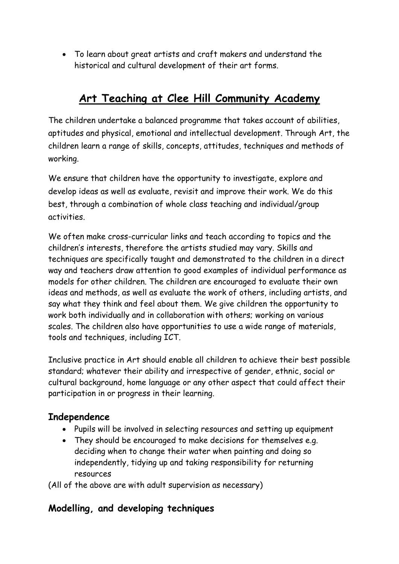• To learn about great artists and craft makers and understand the historical and cultural development of their art forms.

# **Art Teaching at Clee Hill Community Academy**

The children undertake a balanced programme that takes account of abilities, aptitudes and physical, emotional and intellectual development. Through Art, the children learn a range of skills, concepts, attitudes, techniques and methods of working.

We ensure that children have the opportunity to investigate, explore and develop ideas as well as evaluate, revisit and improve their work. We do this best, through a combination of whole class teaching and individual/group activities.

We often make cross-curricular links and teach according to topics and the children's interests, therefore the artists studied may vary. Skills and techniques are specifically taught and demonstrated to the children in a direct way and teachers draw attention to good examples of individual performance as models for other children. The children are encouraged to evaluate their own ideas and methods, as well as evaluate the work of others, including artists, and say what they think and feel about them. We give children the opportunity to work both individually and in collaboration with others; working on various scales. The children also have opportunities to use a wide range of materials, tools and techniques, including ICT.

Inclusive practice in Art should enable all children to achieve their best possible standard; whatever their ability and irrespective of gender, ethnic, social or cultural background, home language or any other aspect that could affect their participation in or progress in their learning.

### **Independence**

- Pupils will be involved in selecting resources and setting up equipment
- They should be encouraged to make decisions for themselves e.g. deciding when to change their water when painting and doing so independently, tidying up and taking responsibility for returning resources

(All of the above are with adult supervision as necessary)

## **Modelling, and developing techniques**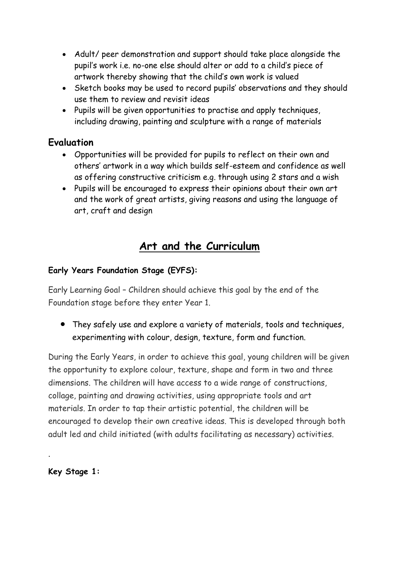- Adult/ peer demonstration and support should take place alongside the pupil's work i.e. no-one else should alter or add to a child's piece of artwork thereby showing that the child's own work is valued
- Sketch books may be used to record pupils' observations and they should use them to review and revisit ideas
- Pupils will be given opportunities to practise and apply techniques, including drawing, painting and sculpture with a range of materials

### **Evaluation**

- Opportunities will be provided for pupils to reflect on their own and others' artwork in a way which builds self-esteem and confidence as well as offering constructive criticism e.g. through using 2 stars and a wish
- Pupils will be encouraged to express their opinions about their own art and the work of great artists, giving reasons and using the language of art, craft and design

## **Art and the Curriculum**

### **Early Years Foundation Stage (EYFS):**

Early Learning Goal – Children should achieve this goal by the end of the Foundation stage before they enter Year 1.

• They safely use and explore a variety of materials, tools and techniques, experimenting with colour, design, texture, form and function.

During the Early Years, in order to achieve this goal, young children will be given the opportunity to explore colour, texture, shape and form in two and three dimensions. The children will have access to a wide range of constructions, collage, painting and drawing activities, using appropriate tools and art materials. In order to tap their artistic potential, the children will be encouraged to develop their own creative ideas. This is developed through both adult led and child initiated (with adults facilitating as necessary) activities.

**Key Stage 1:**

.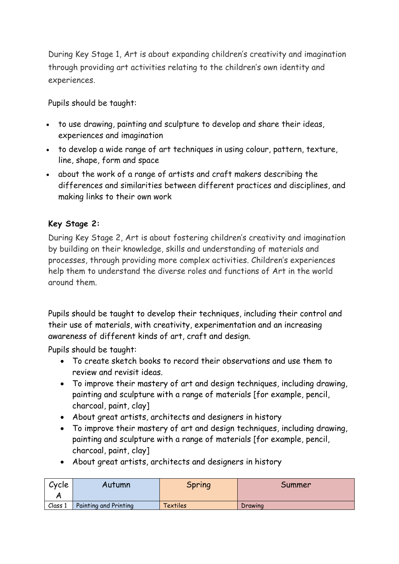During Key Stage 1, Art is about expanding children's creativity and imagination through providing art activities relating to the children's own identity and experiences.

Pupils should be taught:

- to use drawing, painting and sculpture to develop and share their ideas, experiences and imagination
- to develop a wide range of art techniques in using colour, pattern, texture, line, shape, form and space
- about the work of a range of artists and craft makers describing the differences and similarities between different practices and disciplines, and making links to their own work

#### **Key Stage 2:**

During Key Stage 2, Art is about fostering children's creativity and imagination by building on their knowledge, skills and understanding of materials and processes, through providing more complex activities. Children's experiences help them to understand the diverse roles and functions of Art in the world around them.

Pupils should be taught to develop their techniques, including their control and their use of materials, with creativity, experimentation and an increasing awareness of different kinds of art, craft and design.

Pupils should be taught:

- To create sketch books to record their observations and use them to review and revisit ideas.
- To improve their mastery of art and design techniques, including drawing, painting and sculpture with a range of materials [for example, pencil, charcoal, paint, clay]
- About great artists, architects and designers in history
- To improve their mastery of art and design techniques, including drawing, painting and sculpture with a range of materials [for example, pencil, charcoal, paint, clay]
- About great artists, architects and designers in history

| Cycle   | Autumn                | <b>Spring</b> | Summer  |
|---------|-----------------------|---------------|---------|
| Class 1 | Painting and Printing | Textiles      | Drawing |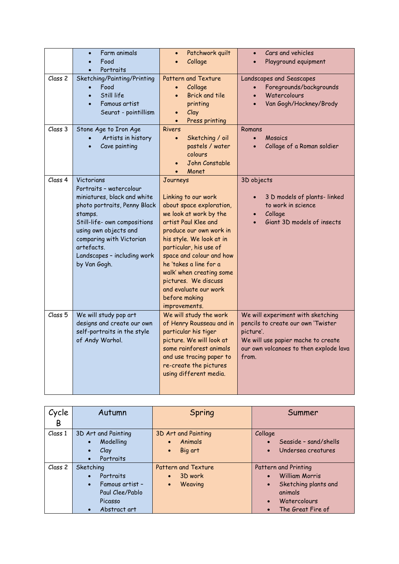|                    | Farm animals<br>Food<br>Portraits                                                                                                                                                                                                                                 | Patchwork quilt<br>$\bullet$<br>Collage                                                                                                                                                                                                                                                                                                                             | Cars and vehicles<br>$\bullet$<br>Playground equipment                                                                                                                        |
|--------------------|-------------------------------------------------------------------------------------------------------------------------------------------------------------------------------------------------------------------------------------------------------------------|---------------------------------------------------------------------------------------------------------------------------------------------------------------------------------------------------------------------------------------------------------------------------------------------------------------------------------------------------------------------|-------------------------------------------------------------------------------------------------------------------------------------------------------------------------------|
| Class <sub>2</sub> | Sketching/Painting/Printing<br>Food<br>Still life<br>Famous artist<br>Seurat - pointillism                                                                                                                                                                        | Pattern and Texture<br>Collage<br>$\bullet$<br><b>Brick and tile</b><br>printing<br>Clay<br>$\bullet$<br>Press printing                                                                                                                                                                                                                                             | Landscapes and Seascapes<br>Foregrounds/backgrounds<br>Watercolours<br>Van Gogh/Hockney/Brody                                                                                 |
| Class 3            | Stone Age to Iron Age<br>Artists in history<br>Cave painting                                                                                                                                                                                                      | <b>Rivers</b><br>Sketching / oil<br>$\bullet$<br>pastels / water<br>colours<br>John Constable<br>Monet                                                                                                                                                                                                                                                              | Romans<br>Mosaics<br>$\bullet$<br>Collage of a Roman soldier                                                                                                                  |
| Class 4            | Victorians<br>Portraits - watercolour<br>miniatures, black and white<br>photo portraits, Penny Black<br>stamps.<br>Still-life- own compositions<br>using own objects and<br>comparing with Victorian<br>artefacts.<br>Landscapes - including work<br>by Van Gogh. | Journeys<br>Linking to our work<br>about space exploration,<br>we look at work by the<br>artist Paul Klee and<br>produce our own work in<br>his style. We look at in<br>particular, his use of<br>space and colour and how<br>he 'takes a line for a<br>walk' when creating some<br>pictures. We discuss<br>and evaluate our work<br>before making<br>improvements. | 3D objects<br>3 D models of plants-linked<br>to work in science<br>Collage<br>Giant 3D models of insects                                                                      |
| Class <sub>5</sub> | We will study pop art<br>designs and create our own<br>self-portraits in the style<br>of Andy Warhol.                                                                                                                                                             | We will study the work<br>of Henry Rousseau and in<br>particular his tiger<br>picture. We will look at<br>some rainforest animals<br>and use tracing paper to<br>re-create the pictures<br>using different media.                                                                                                                                                   | We will experiment with sketching<br>pencils to create our own 'Twister<br>picture'.<br>We will use papier mache to create<br>our own volcanoes to then explode lava<br>from. |

| Cycle   | Autumn                                                                                                            | Spring                                                        | Summer                                                                                                                             |
|---------|-------------------------------------------------------------------------------------------------------------------|---------------------------------------------------------------|------------------------------------------------------------------------------------------------------------------------------------|
| B       |                                                                                                                   |                                                               |                                                                                                                                    |
| Class 1 | 3D Art and Painting<br>Modelling<br>$\bullet$<br>Clay<br>$\bullet$<br>Portraits<br>$\bullet$                      | 3D Art and Painting<br>Animals<br>Big art<br>$\bullet$        | Collage<br>Seaside - sand/shells<br>Undersea creatures                                                                             |
| Class 2 | Sketching<br>Portraits<br>Famous artist -<br>$\bullet$<br>Paul Clee/Pablo<br>Picasso<br>Abstract art<br>$\bullet$ | <b>Pattern and Texture</b><br>3D work<br>Weaving<br>$\bullet$ | Pattern and Printing<br><b>William Morris</b><br>Sketching plants and<br>$\bullet$<br>animals<br>Watercolours<br>The Great Fire of |